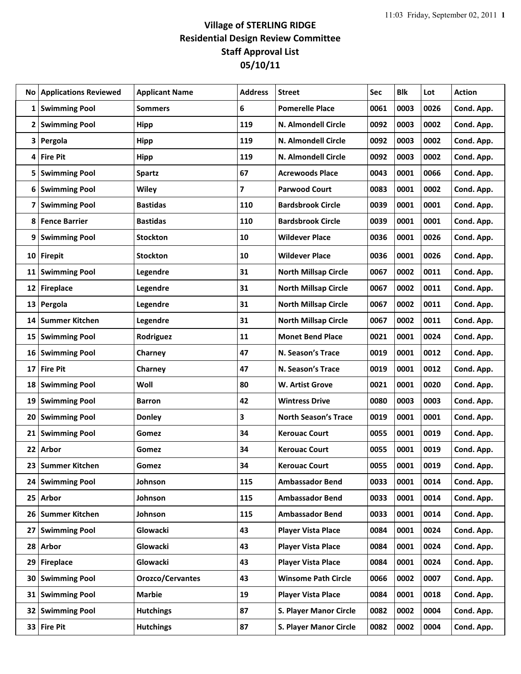| No              | <b>Applications Reviewed</b> | <b>Applicant Name</b> | <b>Address</b> | <b>Street</b>               | Sec  | <b>Blk</b> | Lot  | <b>Action</b> |
|-----------------|------------------------------|-----------------------|----------------|-----------------------------|------|------------|------|---------------|
| 1               | <b>Swimming Pool</b>         | <b>Sommers</b>        | 6              | <b>Pomerelle Place</b>      | 0061 | 0003       | 0026 | Cond. App.    |
| 2               | <b>Swimming Pool</b>         | Hipp                  | 119            | N. Almondell Circle         | 0092 | 0003       | 0002 | Cond. App.    |
| 3               | Pergola                      | <b>Hipp</b>           | 119            | N. Almondell Circle         | 0092 | 0003       | 0002 | Cond. App.    |
| 4               | <b>Fire Pit</b>              | <b>Hipp</b>           | 119            | N. Almondell Circle         | 0092 | 0003       | 0002 | Cond. App.    |
| 5               | <b>Swimming Pool</b>         | <b>Spartz</b>         | 67             | <b>Acrewoods Place</b>      | 0043 | 0001       | 0066 | Cond. App.    |
| 6               | <b>Swimming Pool</b>         | Wiley                 | 7              | <b>Parwood Court</b>        | 0083 | 0001       | 0002 | Cond. App.    |
| 7               | <b>Swimming Pool</b>         | <b>Bastidas</b>       | 110            | <b>Bardsbrook Circle</b>    | 0039 | 0001       | 0001 | Cond. App.    |
| 8               | <b>Fence Barrier</b>         | <b>Bastidas</b>       | 110            | <b>Bardsbrook Circle</b>    | 0039 | 0001       | 0001 | Cond. App.    |
| 9               | <b>Swimming Pool</b>         | <b>Stockton</b>       | 10             | <b>Wildever Place</b>       | 0036 | 0001       | 0026 | Cond. App.    |
| 10              | <b>Firepit</b>               | <b>Stockton</b>       | 10             | <b>Wildever Place</b>       | 0036 | 0001       | 0026 | Cond. App.    |
| 11              | <b>Swimming Pool</b>         | Legendre              | 31             | <b>North Millsap Circle</b> | 0067 | 0002       | 0011 | Cond. App.    |
| 12              | <b>Fireplace</b>             | Legendre              | 31             | <b>North Millsap Circle</b> | 0067 | 0002       | 0011 | Cond. App.    |
| 13              | Pergola                      | Legendre              | 31             | <b>North Millsap Circle</b> | 0067 | 0002       | 0011 | Cond. App.    |
| 14              | <b>Summer Kitchen</b>        | Legendre              | 31             | <b>North Millsap Circle</b> | 0067 | 0002       | 0011 | Cond. App.    |
| 15              | <b>Swimming Pool</b>         | Rodriguez             | 11             | <b>Monet Bend Place</b>     | 0021 | 0001       | 0024 | Cond. App.    |
| 16              | <b>Swimming Pool</b>         | Charney               | 47             | N. Season's Trace           | 0019 | 0001       | 0012 | Cond. App.    |
| 17              | <b>Fire Pit</b>              | Charney               | 47             | N. Season's Trace           | 0019 | 0001       | 0012 | Cond. App.    |
| 18              | <b>Swimming Pool</b>         | Woll                  | 80             | W. Artist Grove             | 0021 | 0001       | 0020 | Cond. App.    |
| 19              | <b>Swimming Pool</b>         | Barron                | 42             | <b>Wintress Drive</b>       | 0080 | 0003       | 0003 | Cond. App.    |
| 20              | <b>Swimming Pool</b>         | <b>Donley</b>         | 3              | <b>North Season's Trace</b> | 0019 | 0001       | 0001 | Cond. App.    |
| 21              | <b>Swimming Pool</b>         | Gomez                 | 34             | <b>Kerouac Court</b>        | 0055 | 0001       | 0019 | Cond. App.    |
| 22              | Arbor                        | Gomez                 | 34             | <b>Kerouac Court</b>        | 0055 | 0001       | 0019 | Cond. App.    |
| 23              | <b>Summer Kitchen</b>        | Gomez                 | 34             | <b>Kerouac Court</b>        | 0055 | 0001       | 0019 | Cond. App.    |
| 24              | <b>Swimming Pool</b>         | Johnson               | 115            | <b>Ambassador Bend</b>      | 0033 | 0001       | 0014 | Cond. App.    |
|                 | 25 Arbor                     | Johnson               | 115            | <b>Ambassador Bend</b>      | 0033 | 0001       | 0014 | Cond. App.    |
| 26 <sup>1</sup> | <b>Summer Kitchen</b>        | Johnson               | 115            | <b>Ambassador Bend</b>      | 0033 | 0001       | 0014 | Cond. App.    |
| 27              | <b>Swimming Pool</b>         | Glowacki              | 43             | <b>Player Vista Place</b>   | 0084 | 0001       | 0024 | Cond. App.    |
| 28              | Arbor                        | Glowacki              | 43             | <b>Player Vista Place</b>   | 0084 | 0001       | 0024 | Cond. App.    |
| 29              | Fireplace                    | Glowacki              | 43             | <b>Player Vista Place</b>   | 0084 | 0001       | 0024 | Cond. App.    |
| 30              | <b>Swimming Pool</b>         | Orozco/Cervantes      | 43             | <b>Winsome Path Circle</b>  | 0066 | 0002       | 0007 | Cond. App.    |
| 31              | <b>Swimming Pool</b>         | <b>Marbie</b>         | 19             | <b>Player Vista Place</b>   | 0084 | 0001       | 0018 | Cond. App.    |
| 32 I            | <b>Swimming Pool</b>         | <b>Hutchings</b>      | 87             | S. Player Manor Circle      | 0082 | 0002       | 0004 | Cond. App.    |
|                 | 33 Fire Pit                  | <b>Hutchings</b>      | 87             | S. Player Manor Circle      | 0082 | 0002       | 0004 | Cond. App.    |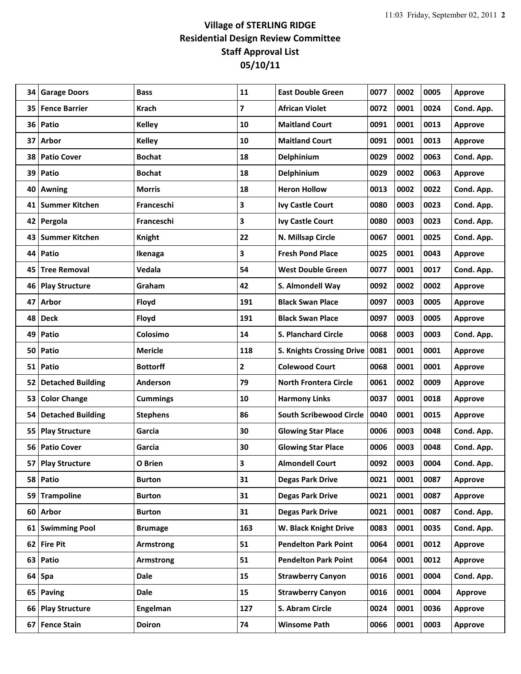| 34 | <b>Garage Doors</b>      | <b>Bass</b>     | 11  | <b>East Double Green</b>         | 0077 | 0002 | 0005 | <b>Approve</b> |
|----|--------------------------|-----------------|-----|----------------------------------|------|------|------|----------------|
| 35 | <b>Fence Barrier</b>     | <b>Krach</b>    | 7   | <b>African Violet</b>            | 0072 | 0001 | 0024 | Cond. App.     |
| 36 | Patio                    | <b>Kelley</b>   | 10  | <b>Maitland Court</b>            | 0091 | 0001 | 0013 | <b>Approve</b> |
| 37 | Arbor                    | <b>Kelley</b>   | 10  | <b>Maitland Court</b>            | 0091 | 0001 | 0013 | <b>Approve</b> |
| 38 | <b>Patio Cover</b>       | <b>Bochat</b>   | 18  | Delphinium                       | 0029 | 0002 | 0063 | Cond. App.     |
| 39 | Patio                    | <b>Bochat</b>   | 18  | Delphinium                       | 0029 | 0002 | 0063 | <b>Approve</b> |
| 40 | <b>Awning</b>            | Morris          | 18  | <b>Heron Hollow</b>              | 0013 | 0002 | 0022 | Cond. App.     |
| 41 | <b>Summer Kitchen</b>    | Franceschi      | 3   | <b>Ivy Castle Court</b>          | 0080 | 0003 | 0023 | Cond. App.     |
| 42 | Pergola                  | Franceschi      | 3   | <b>Ivy Castle Court</b>          | 0080 | 0003 | 0023 | Cond. App.     |
| 43 | <b>Summer Kitchen</b>    | <b>Knight</b>   | 22  | N. Millsap Circle                | 0067 | 0001 | 0025 | Cond. App.     |
| 44 | Patio                    | Ikenaga         | 3   | <b>Fresh Pond Place</b>          | 0025 | 0001 | 0043 | <b>Approve</b> |
| 45 | <b>Tree Removal</b>      | Vedala          | 54  | <b>West Double Green</b>         | 0077 | 0001 | 0017 | Cond. App.     |
| 46 | <b>Play Structure</b>    | Graham          | 42  | S. Almondell Way                 | 0092 | 0002 | 0002 | <b>Approve</b> |
| 47 | Arbor                    | Floyd           | 191 | <b>Black Swan Place</b>          | 0097 | 0003 | 0005 | <b>Approve</b> |
| 48 | <b>Deck</b>              | Floyd           | 191 | <b>Black Swan Place</b>          | 0097 | 0003 | 0005 | Approve        |
| 49 | Patio                    | Colosimo        | 14  | <b>S. Planchard Circle</b>       | 0068 | 0003 | 0003 | Cond. App.     |
| 50 | Patio                    | <b>Mericle</b>  | 118 | <b>S. Knights Crossing Drive</b> | 0081 | 0001 | 0001 | <b>Approve</b> |
| 51 | Patio                    | <b>Bottorff</b> | 2   | <b>Colewood Court</b>            | 0068 | 0001 | 0001 | <b>Approve</b> |
| 52 | <b>Detached Building</b> | Anderson        | 79  | <b>North Frontera Circle</b>     | 0061 | 0002 | 0009 | <b>Approve</b> |
| 53 | <b>Color Change</b>      | <b>Cummings</b> | 10  | <b>Harmony Links</b>             | 0037 | 0001 | 0018 | <b>Approve</b> |
| 54 | <b>Detached Building</b> | <b>Stephens</b> | 86  | <b>South Scribewood Circle</b>   | 0040 | 0001 | 0015 | <b>Approve</b> |
| 55 | <b>Play Structure</b>    | Garcia          | 30  | <b>Glowing Star Place</b>        | 0006 | 0003 | 0048 | Cond. App.     |
| 56 | <b>Patio Cover</b>       | Garcia          | 30  | <b>Glowing Star Place</b>        | 0006 | 0003 | 0048 | Cond. App.     |
| 57 | <b>Play Structure</b>    | O Brien         | 3   | <b>Almondell Court</b>           | 0092 | 0003 | 0004 | Cond. App.     |
| 58 | Patio                    | Burton          | 31  | <b>Degas Park Drive</b>          | 0021 | 0001 | 0087 | Approve        |
| 59 | <b>Trampoline</b>        | <b>Burton</b>   | 31  | <b>Degas Park Drive</b>          | 0021 | 0001 | 0087 | Approve        |
| 60 | <b>Arbor</b>             | <b>Burton</b>   | 31  | <b>Degas Park Drive</b>          | 0021 | 0001 | 0087 | Cond. App.     |
|    | 61 Swimming Pool         | <b>Brumage</b>  | 163 | W. Black Knight Drive            | 0083 | 0001 | 0035 | Cond. App.     |
| 62 | <b>Fire Pit</b>          | Armstrong       | 51  | <b>Pendelton Park Point</b>      | 0064 | 0001 | 0012 | <b>Approve</b> |
| 63 | Patio                    | Armstrong       | 51  | <b>Pendelton Park Point</b>      | 0064 | 0001 | 0012 | Approve        |
| 64 | Spa                      | <b>Dale</b>     | 15  | <b>Strawberry Canyon</b>         | 0016 | 0001 | 0004 | Cond. App.     |
| 65 | Paving                   | <b>Dale</b>     | 15  | <b>Strawberry Canyon</b>         | 0016 | 0001 | 0004 | Approve        |
|    | 66 Play Structure        | Engelman        | 127 | S. Abram Circle                  | 0024 | 0001 | 0036 | Approve        |
| 67 | <b>Fence Stain</b>       | <b>Doiron</b>   | 74  | <b>Winsome Path</b>              | 0066 | 0001 | 0003 | Approve        |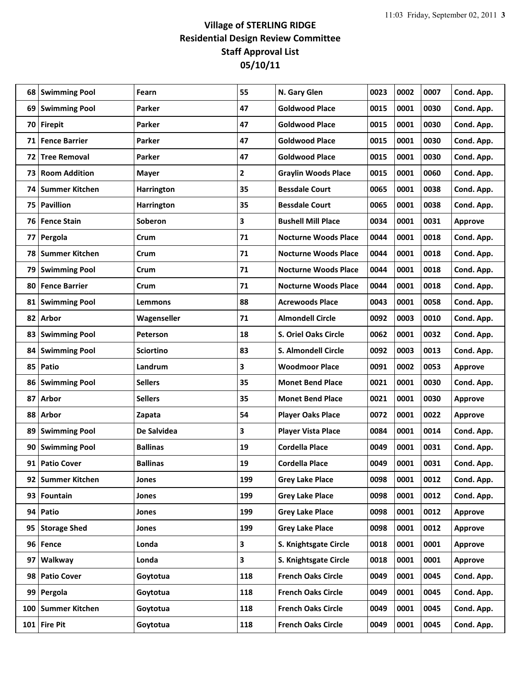| 68  | <b>Swimming Pool</b>  | Fearn             | 55  | N. Gary Glen                | 0023 | 0002 | 0007 | Cond. App.     |
|-----|-----------------------|-------------------|-----|-----------------------------|------|------|------|----------------|
| 69  | <b>Swimming Pool</b>  | <b>Parker</b>     | 47  | <b>Goldwood Place</b>       | 0015 | 0001 | 0030 | Cond. App.     |
| 70  | <b>Firepit</b>        | <b>Parker</b>     | 47  | <b>Goldwood Place</b>       | 0015 | 0001 | 0030 | Cond. App.     |
| 71  | <b>Fence Barrier</b>  | Parker            | 47  | <b>Goldwood Place</b>       | 0015 | 0001 | 0030 | Cond. App.     |
| 72  | <b>Tree Removal</b>   | Parker            | 47  | <b>Goldwood Place</b>       | 0015 | 0001 | 0030 | Cond. App.     |
| 73  | <b>Room Addition</b>  | <b>Mayer</b>      | 2   | <b>Graylin Woods Place</b>  | 0015 | 0001 | 0060 | Cond. App.     |
| 74  | <b>Summer Kitchen</b> | <b>Harrington</b> | 35  | <b>Bessdale Court</b>       | 0065 | 0001 | 0038 | Cond. App.     |
| 75  | <b>Pavillion</b>      | <b>Harrington</b> | 35  | <b>Bessdale Court</b>       | 0065 | 0001 | 0038 | Cond. App.     |
| 76  | <b>Fence Stain</b>    | Soberon           | 3   | <b>Bushell Mill Place</b>   | 0034 | 0001 | 0031 | <b>Approve</b> |
| 77  | Pergola               | Crum              | 71  | <b>Nocturne Woods Place</b> | 0044 | 0001 | 0018 | Cond. App.     |
| 78  | <b>Summer Kitchen</b> | Crum              | 71  | <b>Nocturne Woods Place</b> | 0044 | 0001 | 0018 | Cond. App.     |
| 79  | <b>Swimming Pool</b>  | Crum              | 71  | <b>Nocturne Woods Place</b> | 0044 | 0001 | 0018 | Cond. App.     |
| 80  | <b>Fence Barrier</b>  | Crum              | 71  | <b>Nocturne Woods Place</b> | 0044 | 0001 | 0018 | Cond. App.     |
| 81  | <b>Swimming Pool</b>  | Lemmons           | 88  | <b>Acrewoods Place</b>      | 0043 | 0001 | 0058 | Cond. App.     |
| 82  | <b>Arbor</b>          | Wagenseller       | 71  | <b>Almondell Circle</b>     | 0092 | 0003 | 0010 | Cond. App.     |
| 83  | <b>Swimming Pool</b>  | <b>Peterson</b>   | 18  | S. Oriel Oaks Circle        | 0062 | 0001 | 0032 | Cond. App.     |
| 84  | <b>Swimming Pool</b>  | <b>Sciortino</b>  | 83  | S. Almondell Circle         | 0092 | 0003 | 0013 | Cond. App.     |
| 85  | Patio                 | Landrum           | 3   | <b>Woodmoor Place</b>       | 0091 | 0002 | 0053 | Approve        |
| 86  | <b>Swimming Pool</b>  | <b>Sellers</b>    | 35  | <b>Monet Bend Place</b>     | 0021 | 0001 | 0030 | Cond. App.     |
| 87  | Arbor                 | <b>Sellers</b>    | 35  | <b>Monet Bend Place</b>     | 0021 | 0001 | 0030 | <b>Approve</b> |
| 88  | Arbor                 | Zapata            | 54  | <b>Player Oaks Place</b>    | 0072 | 0001 | 0022 | <b>Approve</b> |
| 89  | <b>Swimming Pool</b>  | De Salvidea       | 3   | <b>Player Vista Place</b>   | 0084 | 0001 | 0014 | Cond. App.     |
| 90  | <b>Swimming Pool</b>  | <b>Ballinas</b>   | 19  | <b>Cordella Place</b>       | 0049 | 0001 | 0031 | Cond. App.     |
| 91  | <b>Patio Cover</b>    | <b>Ballinas</b>   | 19  | <b>Cordella Place</b>       | 0049 | 0001 | 0031 | Cond. App.     |
| 92  | <b>Summer Kitchen</b> | Jones             | 199 | <b>Grey Lake Place</b>      | 0098 | 0001 | 0012 | Cond. App.     |
|     | 93 Fountain           | Jones             | 199 | <b>Grey Lake Place</b>      | 0098 | 0001 | 0012 | Cond. App.     |
| 94  | Patio                 | Jones             | 199 | <b>Grey Lake Place</b>      | 0098 | 0001 | 0012 | Approve        |
| 95  | <b>Storage Shed</b>   | Jones             | 199 | <b>Grey Lake Place</b>      | 0098 | 0001 | 0012 | Approve        |
| 96  | Fence                 | Londa             | 3   | S. Knightsgate Circle       | 0018 | 0001 | 0001 | Approve        |
| 97  | Walkway               | Londa             | 3   | S. Knightsgate Circle       | 0018 | 0001 | 0001 | Approve        |
| 98  | <b>Patio Cover</b>    | Goytotua          | 118 | <b>French Oaks Circle</b>   | 0049 | 0001 | 0045 | Cond. App.     |
| 99  | Pergola               | Goytotua          | 118 | <b>French Oaks Circle</b>   | 0049 | 0001 | 0045 | Cond. App.     |
| 100 | <b>Summer Kitchen</b> | Goytotua          | 118 | <b>French Oaks Circle</b>   | 0049 | 0001 | 0045 | Cond. App.     |
|     | 101 Fire Pit          | Goytotua          | 118 | <b>French Oaks Circle</b>   | 0049 | 0001 | 0045 | Cond. App.     |